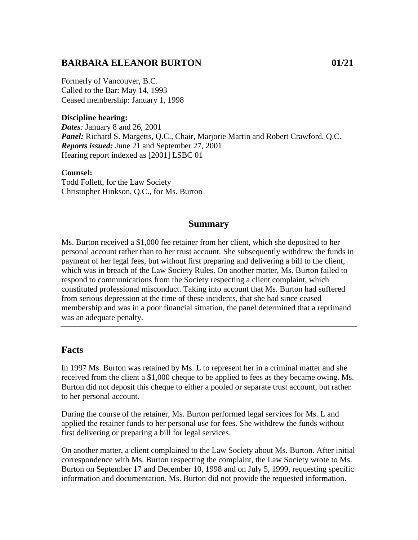# **BARBARA ELEANOR BURTON 01/21**

Formerly of Vancouver, B.C. Called to the Bar: May 14, 1993 Ceased membership: January 1, 1998

### **Discipline hearing:**

*Dates:* January 8 and 26, 2001 Panel: Richard S. Margetts, Q.C., Chair, Marjorie Martin and Robert Crawford, Q.C. *Reports issued:* June 21 and September 27, 2001 Hearing report indexed as [2001] LSBC 01

#### **Counsel:**

Todd Follett, for the Law Society Christopher Hinkson, Q.C., for Ms. Burton

#### **Summary**

Ms. Burton received a \$1,000 fee retainer from her client, which she deposited to her personal account rather than to her trust account. She subsequently withdrew the funds in payment of her legal fees, but without first preparing and delivering a bill to the client, which was in breach of the Law Society Rules. On another matter, Ms. Burton failed to respond to communications from the Society respecting a client complaint, which constituted professional misconduct. Taking into account that Ms. Burton had suffered from serious depression at the time of these incidents, that she had since ceased membership and was in a poor financial situation, the panel determined that a reprimand was an adequate penalty.

### **Facts**

In 1997 Ms. Burton was retained by Ms. L to represent her in a criminal matter and she received from the client a \$1,000 cheque to be applied to fees as they became owing. Ms. Burton did not deposit this cheque to either a pooled or separate trust account, but rather to her personal account.

During the course of the retainer, Ms. Burton performed legal services for Ms. L and applied the retainer funds to her personal use for fees. She withdrew the funds without first delivering or preparing a bill for legal services.

On another matter, a client complained to the Law Society about Ms. Burton. After initial correspondence with Ms. Burton respecting the complaint, the Law Society wrote to Ms. Burton on September 17 and December 10, 1998 and on July 5, 1999, requesting specific information and documentation. Ms. Burton did not provide the requested information.